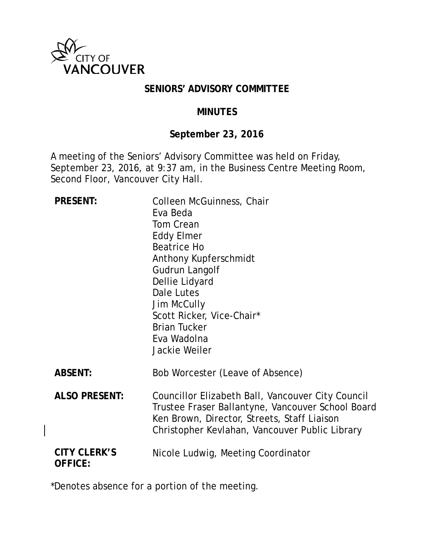

#### **SENIORS' ADVISORY COMMITTEE**

#### **MINUTES**

## **September 23, 2016**

A meeting of the Seniors' Advisory Committee was held on Friday, September 23, 2016, at 9:37 am, in the Business Centre Meeting Room, Second Floor, Vancouver City Hall.

| <b>PRESENT:</b>                       | Colleen McGuinness, Chair<br>Eva Beda<br>Tom Crean<br><b>Eddy Elmer</b><br><b>Beatrice Ho</b><br>Anthony Kupferschmidt<br>Gudrun Langolf<br>Dellie Lidyard<br>Dale Lutes<br>Jim McCully<br>Scott Ricker, Vice-Chair*<br><b>Brian Tucker</b><br>Eva Wadolna<br>Jackie Weiler |
|---------------------------------------|-----------------------------------------------------------------------------------------------------------------------------------------------------------------------------------------------------------------------------------------------------------------------------|
| <b>ABSENT:</b>                        | Bob Worcester (Leave of Absence)                                                                                                                                                                                                                                            |
| <b>ALSO PRESENT:</b>                  | Councillor Elizabeth Ball, Vancouver City Council<br>Trustee Fraser Ballantyne, Vancouver School Board<br>Ken Brown, Director, Streets, Staff Liaison<br>Christopher Kevlahan, Vancouver Public Library                                                                     |
| <b>CITY CLERK'S</b><br><b>OFFICE:</b> | Nicole Ludwig, Meeting Coordinator                                                                                                                                                                                                                                          |

\*Denotes absence for a portion of the meeting.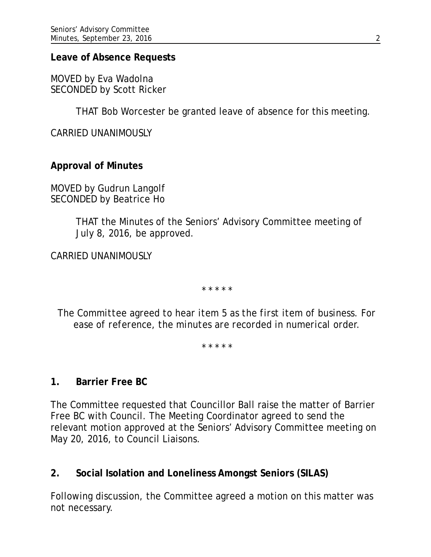#### **Leave of Absence Requests**

MOVED by Eva Wadolna SECONDED by Scott Ricker

THAT Bob Worcester be granted leave of absence for this meeting.

CARRIED UNANIMOUSLY

**Approval of Minutes**

MOVED by Gudrun Langolf SECONDED by Beatrice Ho

> THAT the Minutes of the Seniors' Advisory Committee meeting of July 8, 2016, be approved.

CARRIED UNANIMOUSLY

*\* \* \* \* \**

*The Committee agreed to hear item 5 as the first item of business. For ease of reference, the minutes are recorded in numerical order.*

*\* \* \* \* \**

### **1. Barrier Free BC**

The Committee requested that Councillor Ball raise the matter of Barrier Free BC with Council. The Meeting Coordinator agreed to send the relevant motion approved at the Seniors' Advisory Committee meeting on May 20, 2016, to Council Liaisons.

### **2. Social Isolation and Loneliness Amongst Seniors (SILAS)**

Following discussion, the Committee agreed a motion on this matter was not necessary.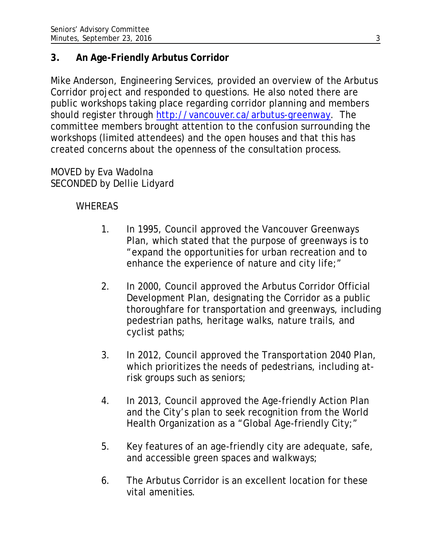# **3. An Age-Friendly Arbutus Corridor**

Mike Anderson, Engineering Services, provided an overview of the Arbutus Corridor project and responded to questions. He also noted there are public workshops taking place regarding corridor planning and members should register through [http://vancouver.ca/arbutus-greenway.](http://vancouver.ca/arbutus-greenway) The committee members brought attention to the confusion surrounding the workshops (limited attendees) and the open houses and that this has created concerns about the openness of the consultation process.

MOVED by Eva Wadolna SECONDED by Dellie Lidyard

## WHEREAS

- 1. In 1995, Council approved the Vancouver Greenways Plan, which stated that the purpose of greenways is to "expand the opportunities for urban recreation and to enhance the experience of nature and city life;"
- 2. In 2000, Council approved the Arbutus Corridor Official Development Plan, designating the Corridor as a public thoroughfare for transportation and greenways, including pedestrian paths, heritage walks, nature trails, and cyclist paths;
- 3. In 2012, Council approved the Transportation 2040 Plan, which prioritizes the needs of pedestrians, including atrisk groups such as seniors;
- 4. In 2013, Council approved the Age-friendly Action Plan and the City's plan to seek recognition from the World Health Organization as a "Global Age-friendly City;"
- 5. Key features of an age-friendly city are adequate, safe, and accessible green spaces and walkways;
- 6. The Arbutus Corridor is an excellent location for these vital amenities.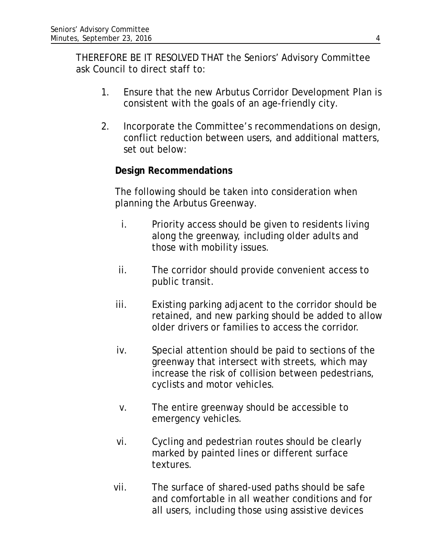THEREFORE BE IT RESOLVED THAT the Seniors' Advisory Committee ask Council to direct staff to:

- 1. Ensure that the new Arbutus Corridor Development Plan is consistent with the goals of an age-friendly city.
- 2. Incorporate the Committee's recommendations on design, conflict reduction between users, and additional matters, set out below:

### **Design Recommendations**

The following should be taken into consideration when planning the Arbutus Greenway.

- i. Priority access should be given to residents living along the greenway, including older adults and those with mobility issues.
- ii. The corridor should provide convenient access to public transit.
- iii. Existing parking adjacent to the corridor should be retained, and new parking should be added to allow older drivers or families to access the corridor.
- iv. Special attention should be paid to sections of the greenway that intersect with streets, which may increase the risk of collision between pedestrians, cyclists and motor vehicles.
- v. The entire greenway should be accessible to emergency vehicles.
- vi. Cycling and pedestrian routes should be clearly marked by painted lines or different surface textures.
- vii. The surface of shared-used paths should be safe and comfortable in all weather conditions and for all users, including those using assistive devices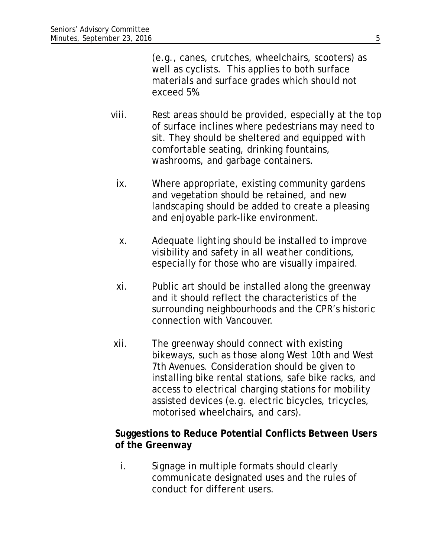(e.g., canes, crutches, wheelchairs, scooters) as well as cyclists. This applies to both surface materials and surface grades which should not exceed 5%.

- viii. Rest areas should be provided, especially at the top of surface inclines where pedestrians may need to sit. They should be sheltered and equipped with comfortable seating, drinking fountains, washrooms, and garbage containers.
	- ix. Where appropriate, existing community gardens and vegetation should be retained, and new landscaping should be added to create a pleasing and enjoyable park-like environment.
	- x. Adequate lighting should be installed to improve visibility and safety in all weather conditions, especially for those who are visually impaired.
	- xi. Public art should be installed along the greenway and it should reflect the characteristics of the surrounding neighbourhoods and the CPR's historic connection with Vancouver.
- xii. The greenway should connect with existing bikeways, such as those along West 10th and West 7th Avenues. Consideration should be given to installing bike rental stations, safe bike racks, and access to electrical charging stations for mobility assisted devices (e.g. electric bicycles, tricycles, motorised wheelchairs, and cars).

### **Suggestions to Reduce Potential Conflicts Between Users of the Greenway**

i. Signage in multiple formats should clearly communicate designated uses and the rules of conduct for different users.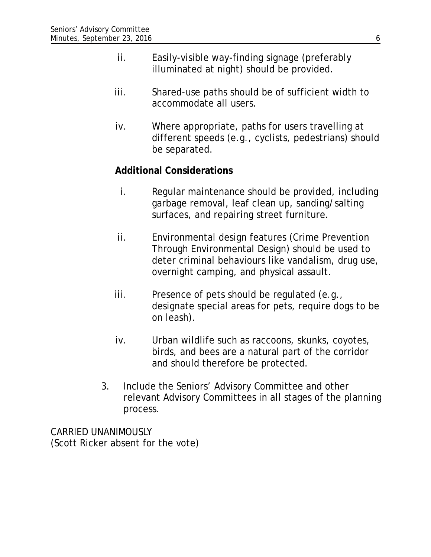- ii. Easily-visible way-finding signage (preferably illuminated at night) should be provided.
- iii. Shared-use paths should be of sufficient width to accommodate all users.
- iv. Where appropriate, paths for users travelling at different speeds (e.g., cyclists, pedestrians) should be separated.

### **Additional Considerations**

- i. Regular maintenance should be provided, including garbage removal, leaf clean up, sanding/salting surfaces, and repairing street furniture.
- ii. Environmental design features (Crime Prevention Through Environmental Design) should be used to deter criminal behaviours like vandalism, drug use, overnight camping, and physical assault.
- iii. Presence of pets should be regulated (e.g., designate special areas for pets, require dogs to be on leash).
- iv. Urban wildlife such as raccoons, skunks, coyotes, birds, and bees are a natural part of the corridor and should therefore be protected.
- 3. Include the Seniors' Advisory Committee and other relevant Advisory Committees in all stages of the planning process.

CARRIED UNANIMOUSLY (Scott Ricker absent for the vote)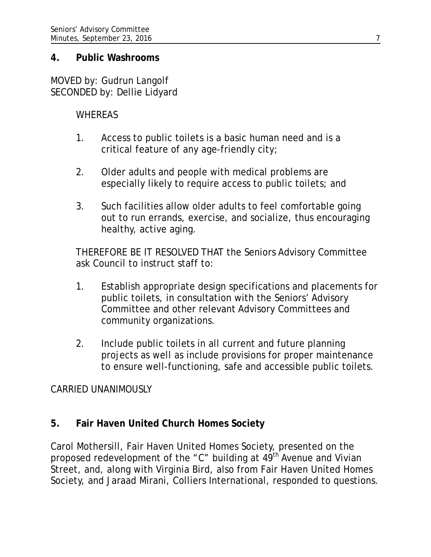#### **4. Public Washrooms**

MOVED by: Gudrun Langolf SECONDED by: Dellie Lidyard

### **WHEREAS**

- 1. Access to public toilets is a basic human need and is a critical feature of any age-friendly city;
- 2. Older adults and people with medical problems are especially likely to require access to public toilets; and
- 3. Such facilities allow older adults to feel comfortable going out to run errands, exercise, and socialize, thus encouraging healthy, active aging.

THEREFORE BE IT RESOLVED THAT the Seniors Advisory Committee ask Council to instruct staff to:

- 1. Establish appropriate design specifications and placements for public toilets, in consultation with the Seniors' Advisory Committee and other relevant Advisory Committees and community organizations.
- 2. Include public toilets in all current and future planning projects as well as include provisions for proper maintenance to ensure well-functioning, safe and accessible public toilets.

### CARRIED UNANIMOUSLY

## **5. Fair Haven United Church Homes Society**

Carol Mothersill, Fair Haven United Homes Society, presented on the proposed redevelopment of the "C" building at 49<sup>th</sup> Avenue and Vivian Street, and, along with Virginia Bird, also from Fair Haven United Homes Society, and Jaraad Mirani, Colliers International, responded to questions.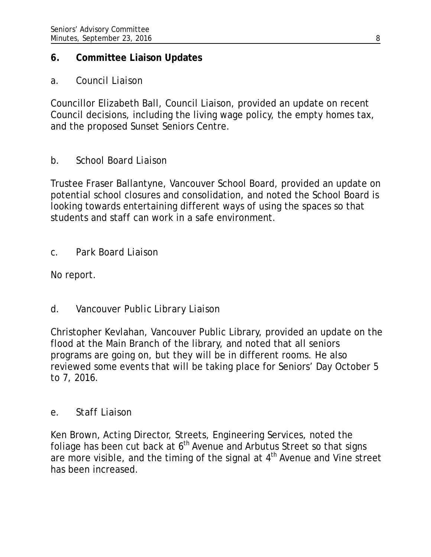## **6. Committee Liaison Updates**

## *a. Council Liaison*

Councillor Elizabeth Ball, Council Liaison, provided an update on recent Council decisions, including the living wage policy, the empty homes tax, and the proposed Sunset Seniors Centre.

# *b. School Board Liaison*

Trustee Fraser Ballantyne, Vancouver School Board, provided an update on potential school closures and consolidation, and noted the School Board is looking towards entertaining different ways of using the spaces so that students and staff can work in a safe environment.

## *c. Park Board Liaison*

No report.

# *d. Vancouver Public Library Liaison*

Christopher Kevlahan, Vancouver Public Library, provided an update on the flood at the Main Branch of the library, and noted that all seniors programs are going on, but they will be in different rooms. He also reviewed some events that will be taking place for Seniors' Day October 5 to 7, 2016.

## *e. Staff Liaison*

Ken Brown, Acting Director, Streets, Engineering Services, noted the foliage has been cut back at  $6<sup>th</sup>$  Avenue and Arbutus Street so that signs are more visible, and the timing of the signal at  $4<sup>th</sup>$  Avenue and Vine street has been increased.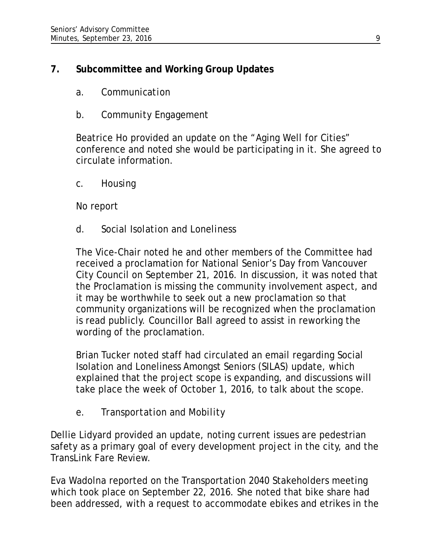# **7. Subcommittee and Working Group Updates**

- *a. Communication*
- *b. Community Engagement*

Beatrice Ho provided an update on the "Aging Well for Cities" conference and noted she would be participating in it. She agreed to circulate information.

*c. Housing*

No report

*d. Social Isolation and Loneliness*

The Vice-Chair noted he and other members of the Committee had received a proclamation for National Senior's Day from Vancouver City Council on September 21, 2016. In discussion, it was noted that the Proclamation is missing the community involvement aspect, and it may be worthwhile to seek out a new proclamation so that community organizations will be recognized when the proclamation is read publicly. Councillor Ball agreed to assist in reworking the wording of the proclamation.

Brian Tucker noted staff had circulated an email regarding Social Isolation and Loneliness Amongst Seniors (SILAS) update, which explained that the project scope is expanding, and discussions will take place the week of October 1, 2016, to talk about the scope.

*e. Transportation and Mobility*

Dellie Lidyard provided an update, noting current issues are pedestrian safety as a primary goal of every development project in the city, and the TransLink Fare Review.

Eva Wadolna reported on the Transportation 2040 Stakeholders meeting which took place on September 22, 2016. She noted that bike share had been addressed, with a request to accommodate ebikes and etrikes in the